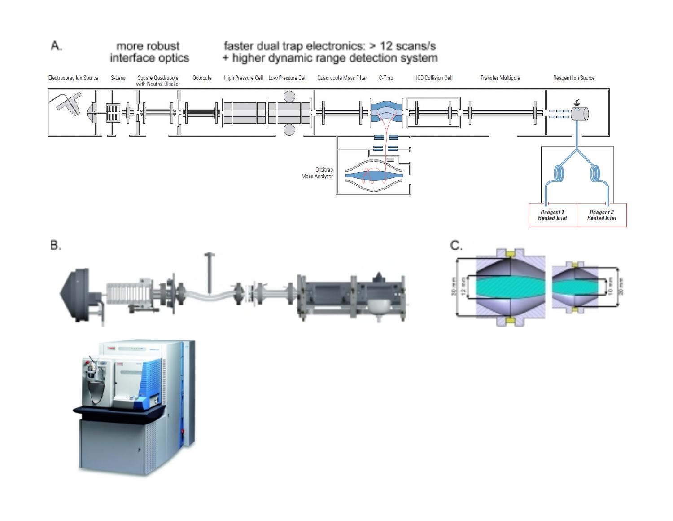

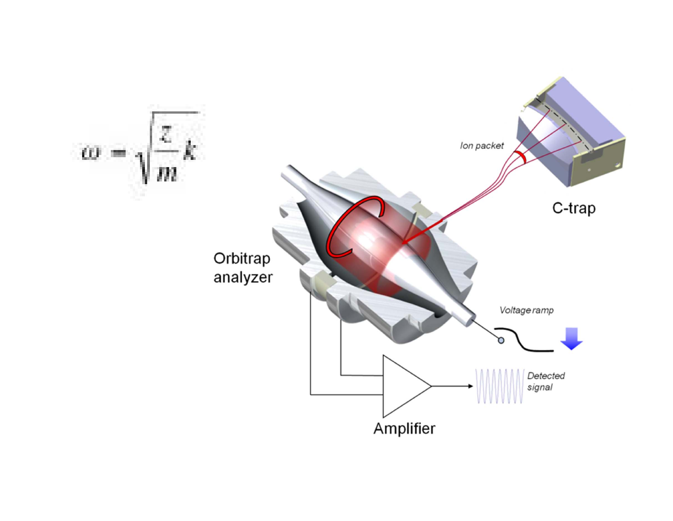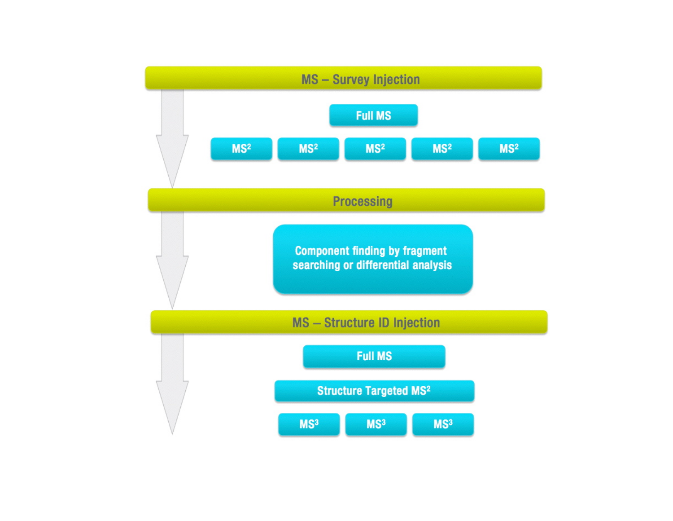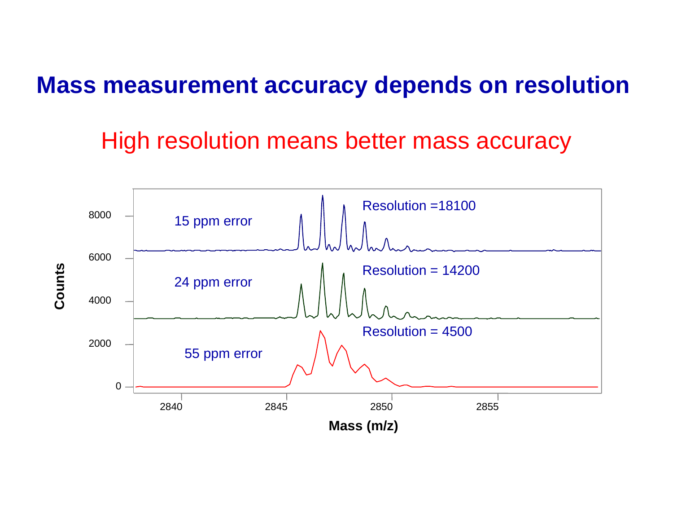## **Mass measurement accuracy depends on resolution**

## High resolution means better mass accuracy

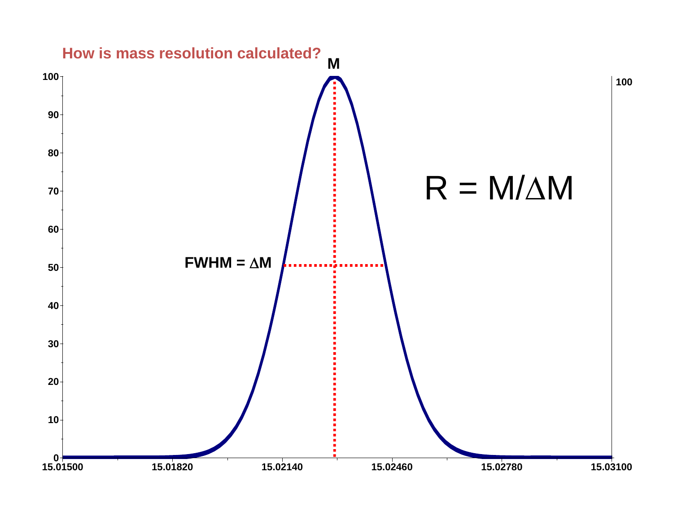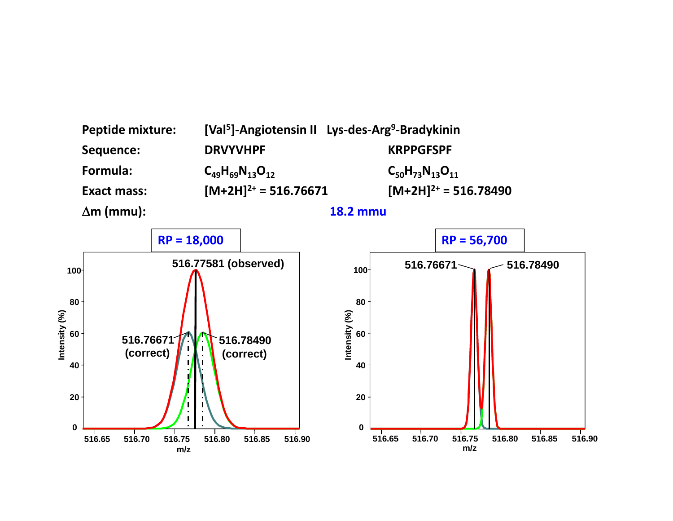